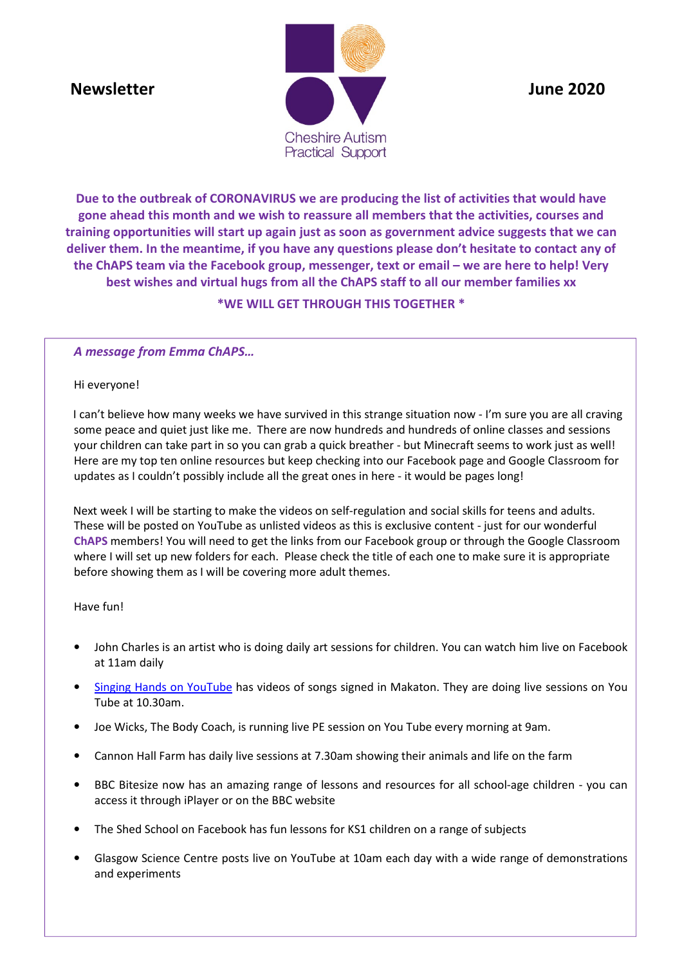

**Due to the outbreak of CORONAVIRUS we are producing the list of activities that would have gone ahead this month and we wish to reassure all members that the activities, courses and training opportunities will start up again just as soon as government advice suggests that we can deliver them. In the meantime, if you have any questions please don't hesitate to contact any of the ChAPS team via the Facebook group, messenger, text or email – we are here to help! Very best wishes and virtual hugs from all the ChAPS staff to all our member families xx** 

# **\*WE WILL GET THROUGH THIS TOGETHER \***

# *A message from Emma ChAPS…*

#### Hi everyone!

 I can't believe how many weeks we have survived in this strange situation now - I'm sure you are all craving some peace and quiet just like me. There are now hundreds and hundreds of online classes and sessions your children can take part in so you can grab a quick breather - but Minecraft seems to work just as well! Here are my top ten online resources but keep checking into our Facebook page and Google Classroom for updates as I couldn't possibly include all the great ones in here - it would be pages long!

 Next week I will be starting to make the videos on self-regulation and social skills for teens and adults. These will be posted on YouTube as unlisted videos as this is exclusive content - just for our wonderful **ChAPS** members! You will need to get the links from our Facebook group or through the Google Classroom where I will set up new folders for each. Please check the title of each one to make sure it is appropriate before showing them as I will be covering more adult themes.

#### Have fun!

- John Charles is an artist who is doing daily art sessions for children. You can watch him live on Facebook at 11am daily
- Singing Hands on YouTube has videos of songs signed in Makaton. They are doing live sessions on You Tube at 10.30am.
- Joe Wicks, The Body Coach, is running live PE session on You Tube every morning at 9am.
- Cannon Hall Farm has daily live sessions at 7.30am showing their animals and life on the farm
- BBC Bitesize now has an amazing range of lessons and resources for all school-age children you can access it through iPlayer or on the BBC website
- The Shed School on Facebook has fun lessons for KS1 children on a range of subjects
- Glasgow Science Centre posts live on YouTube at 10am each day with a wide range of demonstrations and experiments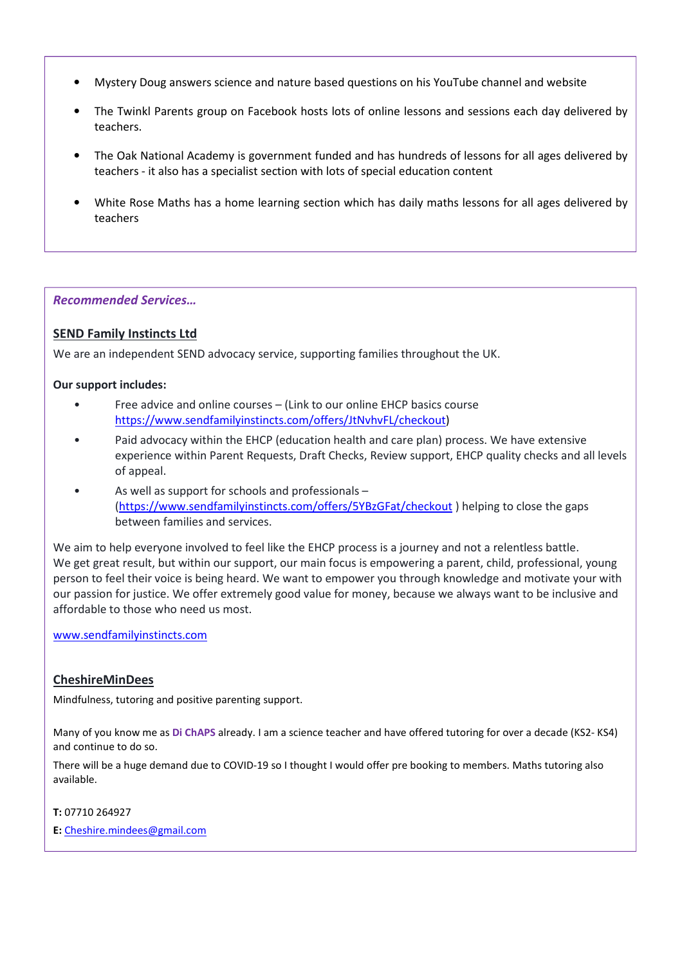- Mystery Doug answers science and nature based questions on his YouTube channel and website
- The Twinkl Parents group on Facebook hosts lots of online lessons and sessions each day delivered by teachers.
- The Oak National Academy is government funded and has hundreds of lessons for all ages delivered by teachers - it also has a specialist section with lots of special education content
- White Rose Maths has a home learning section which has daily maths lessons for all ages delivered by teachers

#### *Recommended Services…*

#### **SEND Family Instincts Ltd**

We are an independent SEND advocacy service, supporting families throughout the UK.

#### **Our support includes:**

- Free advice and online courses (Link to our online EHCP basics course https://www.sendfamilyinstincts.com/offers/JtNvhvFL/checkout)
- Paid advocacy within the EHCP (education health and care plan) process. We have extensive experience within Parent Requests, Draft Checks, Review support, EHCP quality checks and all levels of appeal.
- As well as support for schools and professionals (https://www.sendfamilyinstincts.com/offers/5YBzGFat/checkout ) helping to close the gaps between families and services.

We aim to help everyone involved to feel like the EHCP process is a journey and not a relentless battle. We get great result, but within our support, our main focus is empowering a parent, child, professional, young person to feel their voice is being heard. We want to empower you through knowledge and motivate your with our passion for justice. We offer extremely good value for money, because we always want to be inclusive and affordable to those who need us most.

#### www.sendfamilyinstincts.com

#### **CheshireMinDees**

Mindfulness, tutoring and positive parenting support.

Many of you know me as **Di ChAPS** already. I am a science teacher and have offered tutoring for over a decade (KS2- KS4) and continue to do so.

There will be a huge demand due to COVID-19 so I thought I would offer pre booking to members. Maths tutoring also available.

#### **T:** 07710 264927

**E:** Cheshire.mindees@gmail.com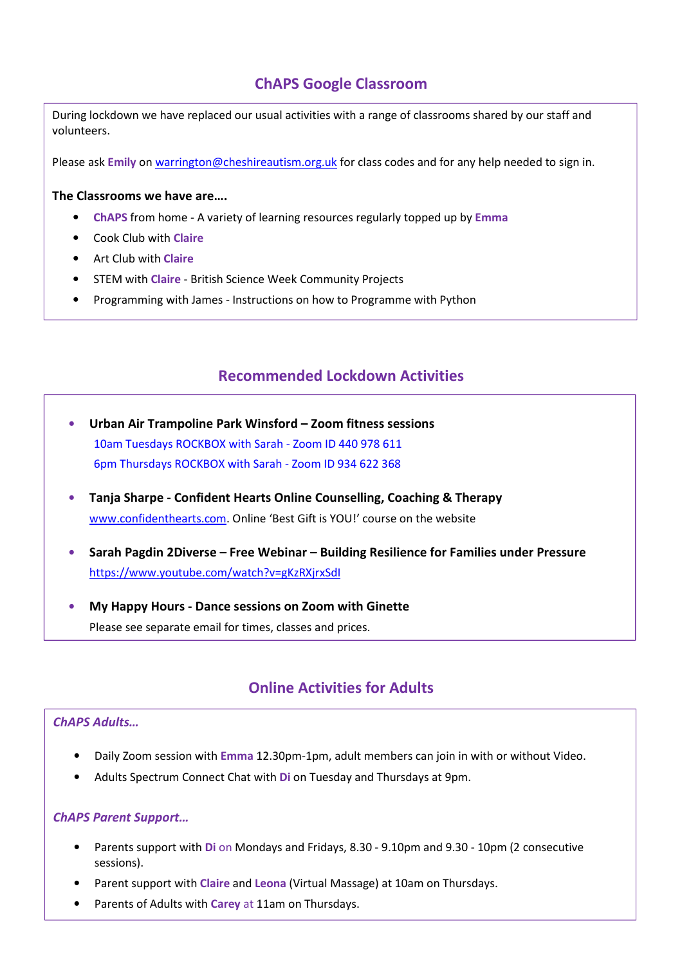# **ChAPS Google Classroom**

During lockdown we have replaced our usual activities with a range of classrooms shared by our staff and volunteers.

Please ask Emily on warrington@cheshireautism.org.uk for class codes and for any help needed to sign in.

#### **The Classrooms we have are….**

- **ChAPS** from home A variety of learning resources regularly topped up by **Emma**
- Cook Club with **Claire**
- Art Club with **Claire**
- STEM with **Claire** British Science Week Community Projects
- Programming with James Instructions on how to Programme with Python

# **Recommended Lockdown Activities**

- **Urban Air Trampoline Park Winsford Zoom fitness sessions** 10am Tuesdays ROCKBOX with Sarah - Zoom ID 440 978 611 6pm Thursdays ROCKBOX with Sarah - Zoom ID 934 622 368
- **Tanja Sharpe Confident Hearts Online Counselling, Coaching & Therapy** www.confidenthearts.com. Online 'Best Gift is YOU!' course on the website
- **Sarah Pagdin 2Diverse Free Webinar Building Resilience for Families under Pressure**  https://www.youtube.com/watch?v=gKzRXjrxSdI
- **My Happy Hours Dance sessions on Zoom with Ginette** Please see separate email for times, classes and prices.

# **Online Activities for Adults**

# *ChAPS Adults…*

- Daily Zoom session with **Emma** 12.30pm-1pm, adult members can join in with or without Video.
- Adults Spectrum Connect Chat with **Di** on Tuesday and Thursdays at 9pm.

# *ChAPS Parent Support…*

- Parents support with **Di** on Mondays and Fridays, 8.30 9.10pm and 9.30 10pm (2 consecutive sessions).
- Parent support with **Claire** and **Leona** (Virtual Massage) at 10am on Thursdays.
- Parents of Adults with **Carey** at 11am on Thursdays.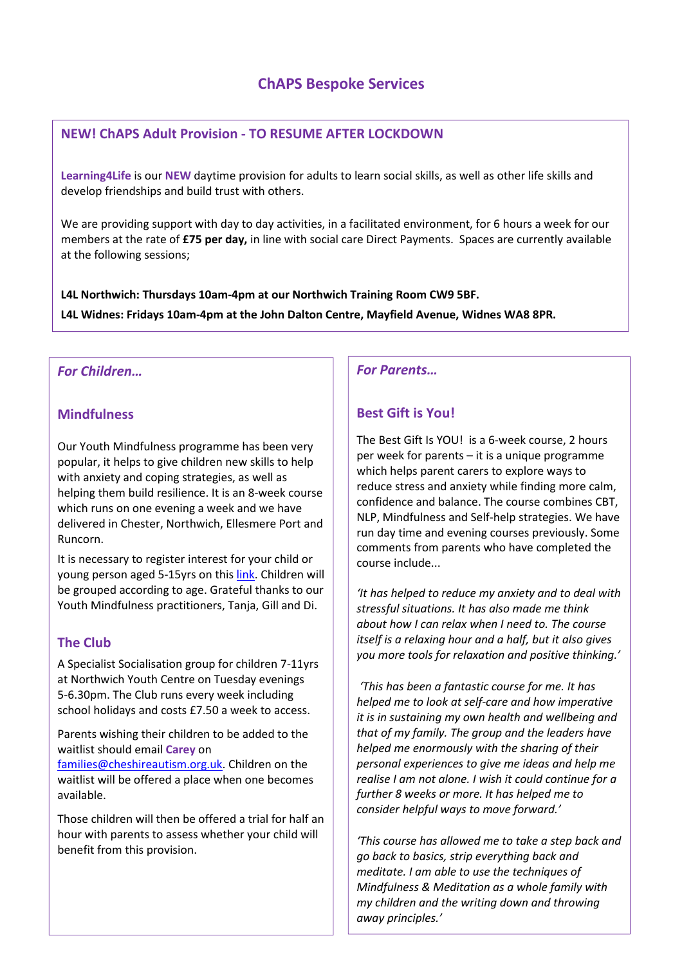# **ChAPS Bespoke Services**

# **NEW! ChAPS Adult Provision - TO RESUME AFTER LOCKDOWN**

**Learning4Life** is our **NEW** daytime provision for adults to learn social skills, as well as other life skills and develop friendships and build trust with others.

We are providing support with day to day activities, in a facilitated environment, for 6 hours a week for our members at the rate of **£75 per day,** in line with social care Direct Payments. Spaces are currently available at the following sessions;

**L4L Northwich: Thursdays 10am-4pm at our Northwich Training Room CW9 5BF. L4L Widnes: Fridays 10am-4pm at the John Dalton Centre, Mayfield Avenue, Widnes WA8 8PR.** 

# *For Children…*

# **Mindfulness**

Our Youth Mindfulness programme has been very popular, it helps to give children new skills to help with anxiety and coping strategies, as well as helping them build resilience. It is an 8-week course which runs on one evening a week and we have delivered in Chester, Northwich, Ellesmere Port and Runcorn.

It is necessary to register interest for your child or young person aged 5-15yrs on this link. Children will be grouped according to age. Grateful thanks to our Youth Mindfulness practitioners, Tanja, Gill and Di.

# **The Club**

A Specialist Socialisation group for children 7-11yrs at Northwich Youth Centre on Tuesday evenings 5-6.30pm. The Club runs every week including school holidays and costs £7.50 a week to access.

Parents wishing their children to be added to the waitlist should email **Carey** on families@cheshireautism.org.uk. Children on the

waitlist will be offered a place when one becomes available.

Those children will then be offered a trial for half an hour with parents to assess whether your child will benefit from this provision.

*For Parents…* 

# **Best Gift is You!**

The Best Gift Is YOU! is a 6-week course, 2 hours per week for parents – it is a unique programme which helps parent carers to explore ways to reduce stress and anxiety while finding more calm, confidence and balance. The course combines CBT, NLP, Mindfulness and Self-help strategies. We have run day time and evening courses previously. Some comments from parents who have completed the course include...

*'It has helped to reduce my anxiety and to deal with stressful situations. It has also made me think about how I can relax when I need to. The course itself is a relaxing hour and a half, but it also gives you more tools for relaxation and positive thinking.'* 

 *'This has been a fantastic course for me. It has helped me to look at self-care and how imperative it is in sustaining my own health and wellbeing and that of my family. The group and the leaders have helped me enormously with the sharing of their personal experiences to give me ideas and help me realise I am not alone. I wish it could continue for a further 8 weeks or more. It has helped me to consider helpful ways to move forward.'* 

*'This course has allowed me to take a step back and go back to basics, strip everything back and meditate. I am able to use the techniques of Mindfulness & Meditation as a whole family with my children and the writing down and throwing away principles.'*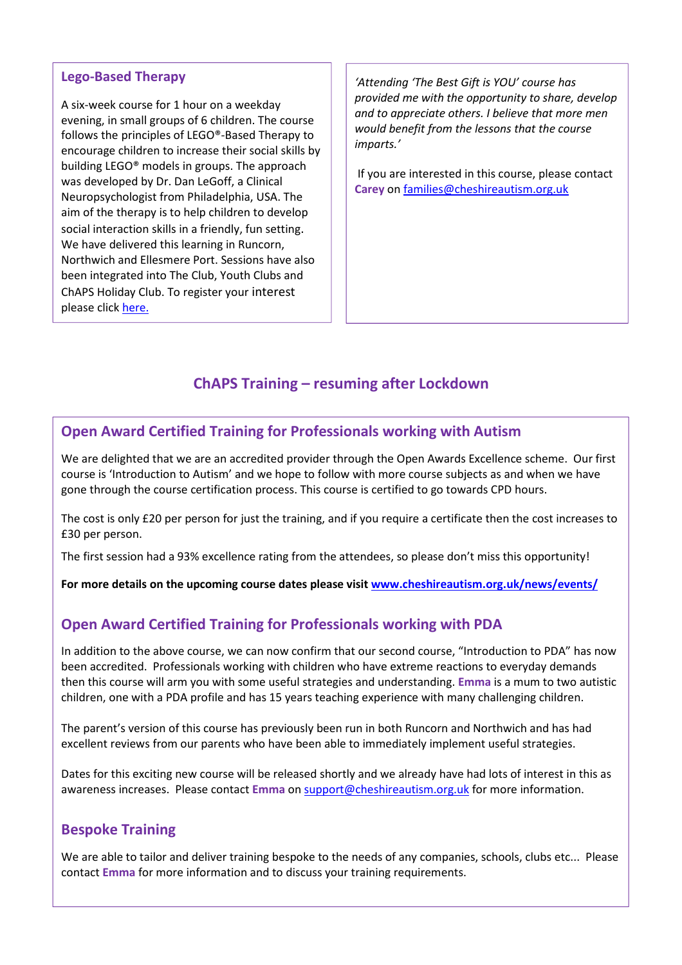# **Lego-Based Therapy**

A six-week course for 1 hour on a weekday evening, in small groups of 6 children. The course follows the principles of LEGO®-Based Therapy to encourage children to increase their social skills by building LEGO® models in groups. The approach was developed by Dr. Dan LeGoff, a Clinical Neuropsychologist from Philadelphia, USA. The aim of the therapy is to help children to develop social interaction skills in a friendly, fun setting. We have delivered this learning in Runcorn, Northwich and Ellesmere Port. Sessions have also been integrated into The Club, Youth Clubs and ChAPS Holiday Club. To register your interest please click here.

*'Attending 'The Best Gift is YOU' course has provided me with the opportunity to share, develop and to appreciate others. I believe that more men would benefit from the lessons that the course imparts.'* 

 If you are interested in this course, please contact **Carey** on families@cheshireautism.org.uk

# **ChAPS Training – resuming after Lockdown**

# **Open Award Certified Training for Professionals working with Autism**

We are delighted that we are an accredited provider through the Open Awards Excellence scheme. Our first course is 'Introduction to Autism' and we hope to follow with more course subjects as and when we have gone through the course certification process. This course is certified to go towards CPD hours.

The cost is only £20 per person for just the training, and if you require a certificate then the cost increases to £30 per person.

The first session had a 93% excellence rating from the attendees, so please don't miss this opportunity!

**For more details on the upcoming course dates please visit www.cheshireautism.org.uk/news/events/** 

# **Open Award Certified Training for Professionals working with PDA**

In addition to the above course, we can now confirm that our second course, "Introduction to PDA" has now been accredited. Professionals working with children who have extreme reactions to everyday demands then this course will arm you with some useful strategies and understanding. **Emma** is a mum to two autistic children, one with a PDA profile and has 15 years teaching experience with many challenging children.

excellent reviews from our parents who have been able to immediately implement useful strategies. The parent's version of this course has previously been run in both Runcorn and Northwich and has had

Dates for this exciting new course will be released shortly and we already have had lots of interest in this as awareness increases. Please contact **Emma** on support@cheshireautism.org.uk for more information.

# **Bespoke Training**

We are able to tailor and deliver training bespoke to the needs of any companies, schools, clubs etc... Please contact **Emma** for more information and to discuss your training requirements.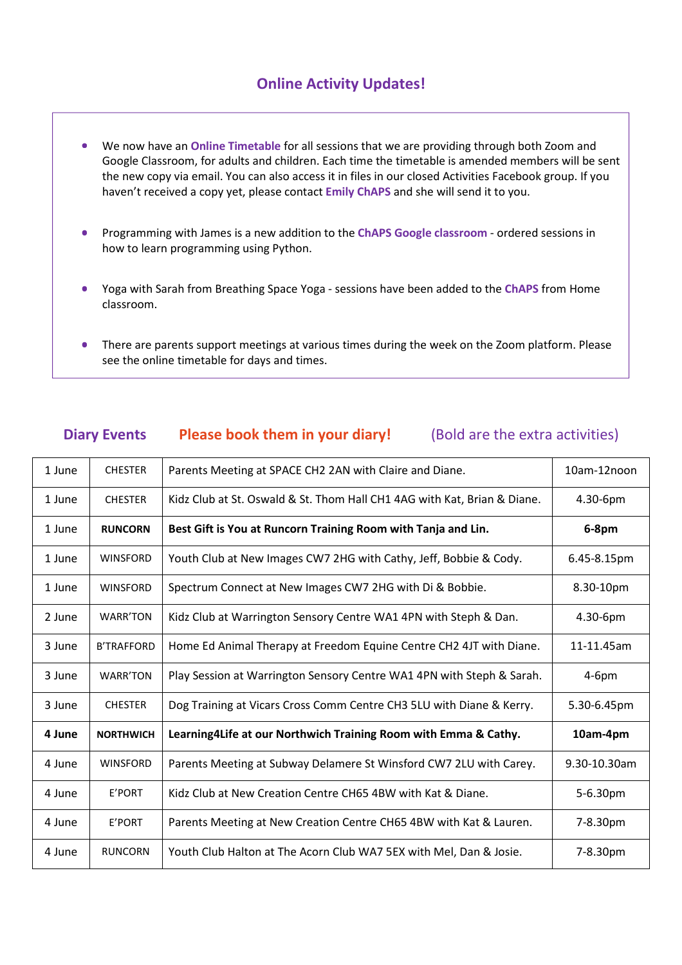# **Online Activity Updates!**

- We now have an **Online Timetable** for all sessions that we are providing through both Zoom and Google Classroom, for adults and children. Each time the timetable is amended members will be sent the new copy via email. You can also access it in files in our closed Activities Facebook group. If you haven't received a copy yet, please contact **Emily ChAPS** and she will send it to you.
- Programming with James is a new addition to the **ChAPS Google classroom** ordered sessions in how to learn programming using Python.
- **\*This Diary will start up again as soon as Coronavirus restrictions are lifted.\***  • Yoga with Sarah from Breathing Space Yoga - sessions have been added to the **ChAPS** from Home classroom.
- There are parents support meetings at various times during the week on the Zoom platform. Please see the online timetable for days and times.

# **Diary Events** Please book them in your diary! (Bold are the extra activities)

| 1 June | <b>CHESTER</b>    | Parents Meeting at SPACE CH2 2AN with Claire and Diane.                        | 10am-12noon  |
|--------|-------------------|--------------------------------------------------------------------------------|--------------|
| 1 June | <b>CHESTER</b>    | Kidz Club at St. Oswald & St. Thom Hall CH1 4AG with Kat, Brian & Diane.       | 4.30-6pm     |
| 1 June | <b>RUNCORN</b>    | Best Gift is You at Runcorn Training Room with Tanja and Lin.                  | 6-8pm        |
| 1 June | <b>WINSFORD</b>   | Youth Club at New Images CW7 2HG with Cathy, Jeff, Bobbie & Cody.              | 6.45-8.15pm  |
| 1 June | <b>WINSFORD</b>   | Spectrum Connect at New Images CW7 2HG with Di & Bobbie.                       | 8.30-10pm    |
| 2 June | <b>WARR'TON</b>   | Kidz Club at Warrington Sensory Centre WA1 4PN with Steph & Dan.               | 4.30-6pm     |
| 3 June | <b>B'TRAFFORD</b> | Home Ed Animal Therapy at Freedom Equine Centre CH2 4JT with Diane.            | 11-11.45am   |
| 3 June | <b>WARR'TON</b>   | Play Session at Warrington Sensory Centre WA1 4PN with Steph & Sarah.          | $4-6pm$      |
| 3 June | <b>CHESTER</b>    | Dog Training at Vicars Cross Comm Centre CH3 5LU with Diane & Kerry.           | 5.30-6.45pm  |
| 4 June | <b>NORTHWICH</b>  | Learning4Life at our Northwich Training Room with Emma & Cathy.                | 10am-4pm     |
| 4 June | <b>WINSFORD</b>   | Parents Meeting at Subway Delamere St Winsford CW7 2LU with Carey.             | 9.30-10.30am |
| 4 June | E'PORT            | Kidz Club at New Creation Centre CH65 4BW with Kat & Diane.<br>5-6.30pm        |              |
| 4 June | E'PORT            | Parents Meeting at New Creation Centre CH65 4BW with Kat & Lauren.<br>7-8.30pm |              |
| 4 June | <b>RUNCORN</b>    | Youth Club Halton at The Acorn Club WA7 5EX with Mel, Dan & Josie.<br>7-8.30pm |              |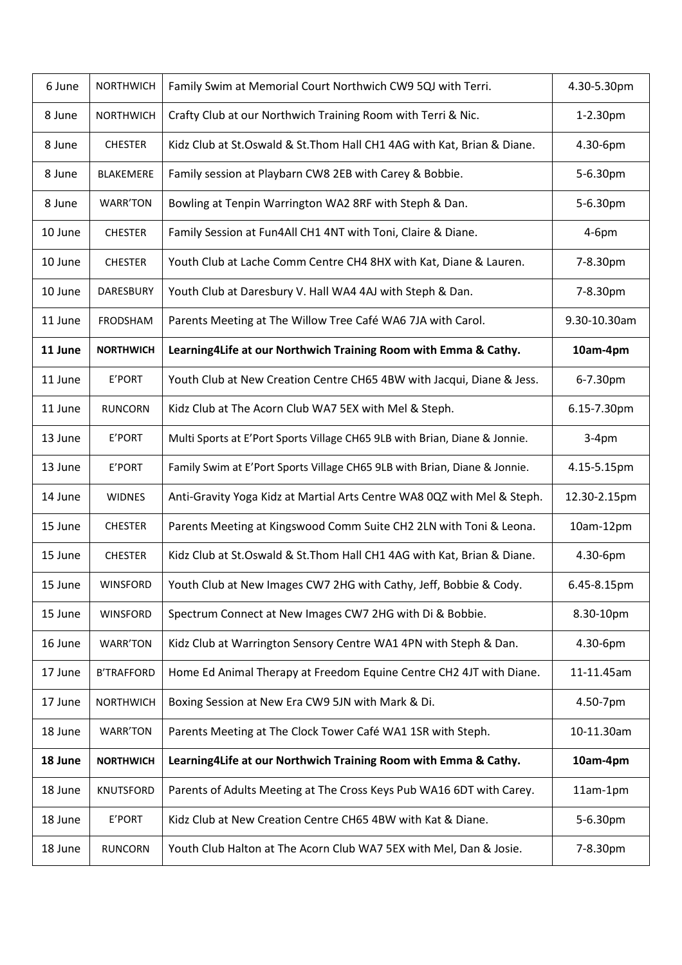| 6 June  | <b>NORTHWICH</b>  | Family Swim at Memorial Court Northwich CW9 5QJ with Terri.                | 4.30-5.30pm  |
|---------|-------------------|----------------------------------------------------------------------------|--------------|
| 8 June  | <b>NORTHWICH</b>  | Crafty Club at our Northwich Training Room with Terri & Nic.               | 1-2.30pm     |
| 8 June  | <b>CHESTER</b>    | Kidz Club at St.Oswald & St.Thom Hall CH1 4AG with Kat, Brian & Diane.     | 4.30-6pm     |
| 8 June  | BLAKEMERE         | Family session at Playbarn CW8 2EB with Carey & Bobbie.                    | 5-6.30pm     |
| 8 June  | WARR'TON          | Bowling at Tenpin Warrington WA2 8RF with Steph & Dan.                     | 5-6.30pm     |
| 10 June | <b>CHESTER</b>    | Family Session at Fun4All CH1 4NT with Toni, Claire & Diane.               | $4-6pm$      |
| 10 June | <b>CHESTER</b>    | Youth Club at Lache Comm Centre CH4 8HX with Kat, Diane & Lauren.          | 7-8.30pm     |
| 10 June | DARESBURY         | Youth Club at Daresbury V. Hall WA4 4AJ with Steph & Dan.                  | 7-8.30pm     |
| 11 June | FRODSHAM          | Parents Meeting at The Willow Tree Café WA6 7JA with Carol.                | 9.30-10.30am |
| 11 June | <b>NORTHWICH</b>  | Learning4Life at our Northwich Training Room with Emma & Cathy.            | 10am-4pm     |
| 11 June | E'PORT            | Youth Club at New Creation Centre CH65 4BW with Jacqui, Diane & Jess.      | 6-7.30pm     |
| 11 June | <b>RUNCORN</b>    | Kidz Club at The Acorn Club WA7 5EX with Mel & Steph.                      | 6.15-7.30pm  |
| 13 June | E'PORT            | Multi Sports at E'Port Sports Village CH65 9LB with Brian, Diane & Jonnie. | $3-4pm$      |
| 13 June | E'PORT            | Family Swim at E'Port Sports Village CH65 9LB with Brian, Diane & Jonnie.  | 4.15-5.15pm  |
| 14 June | <b>WIDNES</b>     | Anti-Gravity Yoga Kidz at Martial Arts Centre WA8 0QZ with Mel & Steph.    | 12.30-2.15pm |
| 15 June | <b>CHESTER</b>    | Parents Meeting at Kingswood Comm Suite CH2 2LN with Toni & Leona.         | 10am-12pm    |
| 15 June | <b>CHESTER</b>    | Kidz Club at St.Oswald & St.Thom Hall CH1 4AG with Kat, Brian & Diane.     | 4.30-6pm     |
| 15 June | <b>WINSFORD</b>   | Youth Club at New Images CW7 2HG with Cathy, Jeff, Bobbie & Cody.          | 6.45-8.15pm  |
| 15 June | <b>WINSFORD</b>   | Spectrum Connect at New Images CW7 2HG with Di & Bobbie.                   | 8.30-10pm    |
| 16 June | <b>WARR'TON</b>   | Kidz Club at Warrington Sensory Centre WA1 4PN with Steph & Dan.           | 4.30-6pm     |
| 17 June | <b>B'TRAFFORD</b> | Home Ed Animal Therapy at Freedom Equine Centre CH2 4JT with Diane.        | 11-11.45am   |
| 17 June | <b>NORTHWICH</b>  | Boxing Session at New Era CW9 5JN with Mark & Di.                          | 4.50-7pm     |
| 18 June | WARR'TON          | Parents Meeting at The Clock Tower Café WA1 1SR with Steph.                | 10-11.30am   |
| 18 June | <b>NORTHWICH</b>  | Learning4Life at our Northwich Training Room with Emma & Cathy.            | 10am-4pm     |
| 18 June | <b>KNUTSFORD</b>  | Parents of Adults Meeting at The Cross Keys Pub WA16 6DT with Carey.       | 11am-1pm     |
| 18 June | E'PORT            | Kidz Club at New Creation Centre CH65 4BW with Kat & Diane.<br>5-6.30pm    |              |
| 18 June | <b>RUNCORN</b>    | Youth Club Halton at The Acorn Club WA7 5EX with Mel, Dan & Josie.         | 7-8.30pm     |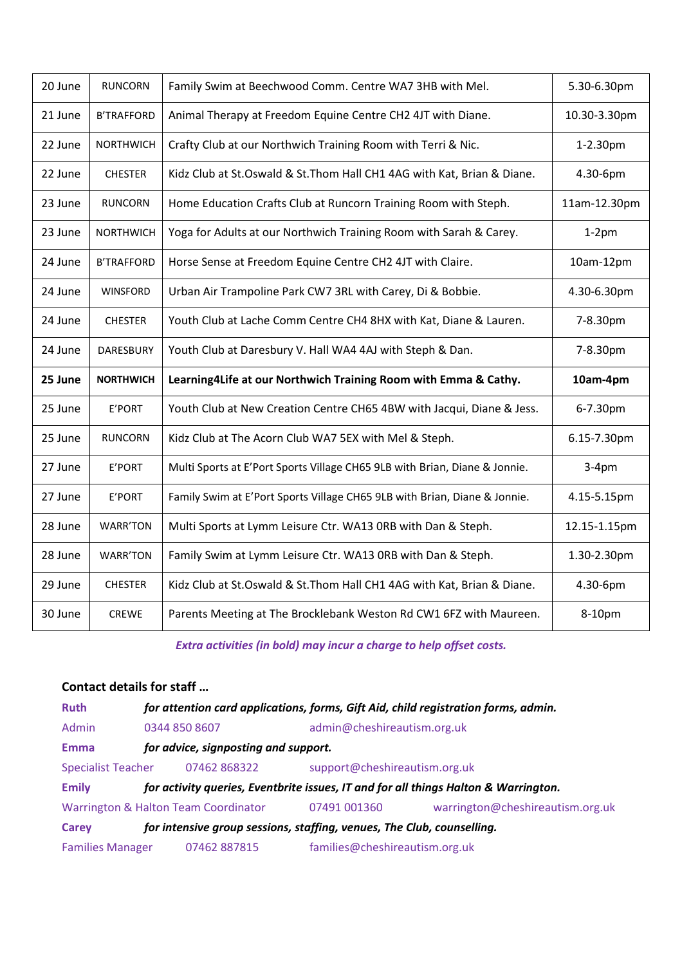| 20 June | <b>RUNCORN</b>    | Family Swim at Beechwood Comm. Centre WA7 3HB with Mel.                    | 5.30-6.30pm  |
|---------|-------------------|----------------------------------------------------------------------------|--------------|
| 21 June | <b>B'TRAFFORD</b> | Animal Therapy at Freedom Equine Centre CH2 4JT with Diane.                | 10.30-3.30pm |
| 22 June | <b>NORTHWICH</b>  | Crafty Club at our Northwich Training Room with Terri & Nic.               | 1-2.30pm     |
| 22 June | <b>CHESTER</b>    | Kidz Club at St.Oswald & St.Thom Hall CH1 4AG with Kat, Brian & Diane.     | 4.30-6pm     |
| 23 June | <b>RUNCORN</b>    | Home Education Crafts Club at Runcorn Training Room with Steph.            | 11am-12.30pm |
| 23 June | <b>NORTHWICH</b>  | Yoga for Adults at our Northwich Training Room with Sarah & Carey.         | $1-2$ pm     |
| 24 June | <b>B'TRAFFORD</b> | Horse Sense at Freedom Equine Centre CH2 4JT with Claire.                  | 10am-12pm    |
| 24 June | <b>WINSFORD</b>   | Urban Air Trampoline Park CW7 3RL with Carey, Di & Bobbie.                 | 4.30-6.30pm  |
| 24 June | <b>CHESTER</b>    | Youth Club at Lache Comm Centre CH4 8HX with Kat, Diane & Lauren.          | 7-8.30pm     |
| 24 June | DARESBURY         | Youth Club at Daresbury V. Hall WA4 4AJ with Steph & Dan.                  | 7-8.30pm     |
| 25 June |                   | Learning4Life at our Northwich Training Room with Emma & Cathy.            |              |
|         | <b>NORTHWICH</b>  |                                                                            | 10am-4pm     |
| 25 June | E'PORT            | Youth Club at New Creation Centre CH65 4BW with Jacqui, Diane & Jess.      | 6-7.30pm     |
| 25 June | <b>RUNCORN</b>    | Kidz Club at The Acorn Club WA7 5EX with Mel & Steph.                      | 6.15-7.30pm  |
| 27 June | E'PORT            | Multi Sports at E'Port Sports Village CH65 9LB with Brian, Diane & Jonnie. | $3-4pm$      |
| 27 June | E'PORT            | Family Swim at E'Port Sports Village CH65 9LB with Brian, Diane & Jonnie.  | 4.15-5.15pm  |
| 28 June | <b>WARR'TON</b>   | Multi Sports at Lymm Leisure Ctr. WA13 ORB with Dan & Steph.               | 12.15-1.15pm |
| 28 June | <b>WARR'TON</b>   | Family Swim at Lymm Leisure Ctr. WA13 ORB with Dan & Steph.                | 1.30-2.30pm  |
| 29 June | <b>CHESTER</b>    | Kidz Club at St.Oswald & St.Thom Hall CH1 4AG with Kat, Brian & Diane.     | 4.30-6pm     |

*Extra activities (in bold) may incur a charge to help offset costs.* 

# **Contact details for staff …**

| <b>Ruth</b>                             | for attention card applications, forms, Gift Aid, child registration forms, admin. |                                      |                                                                        |                                                                                     |
|-----------------------------------------|------------------------------------------------------------------------------------|--------------------------------------|------------------------------------------------------------------------|-------------------------------------------------------------------------------------|
| Admin                                   | 0344 850 8607                                                                      |                                      | admin@cheshireautism.org.uk                                            |                                                                                     |
| <b>Emma</b>                             | for advice, signposting and support.                                               |                                      |                                                                        |                                                                                     |
| <b>Specialist Teacher</b>               |                                                                                    | 07462 868322                         | support@cheshireautism.org.uk                                          |                                                                                     |
| <b>Emily</b>                            |                                                                                    |                                      |                                                                        | for activity queries, Eventbrite issues, IT and for all things Halton & Warrington. |
|                                         |                                                                                    | Warrington & Halton Team Coordinator | 07491 001360                                                           | warrington@cheshireautism.org.uk                                                    |
| Carey                                   |                                                                                    |                                      | for intensive group sessions, staffing, venues, The Club, counselling. |                                                                                     |
| <b>Families Manager</b><br>07462 887815 |                                                                                    | families@cheshireautism.org.uk       |                                                                        |                                                                                     |